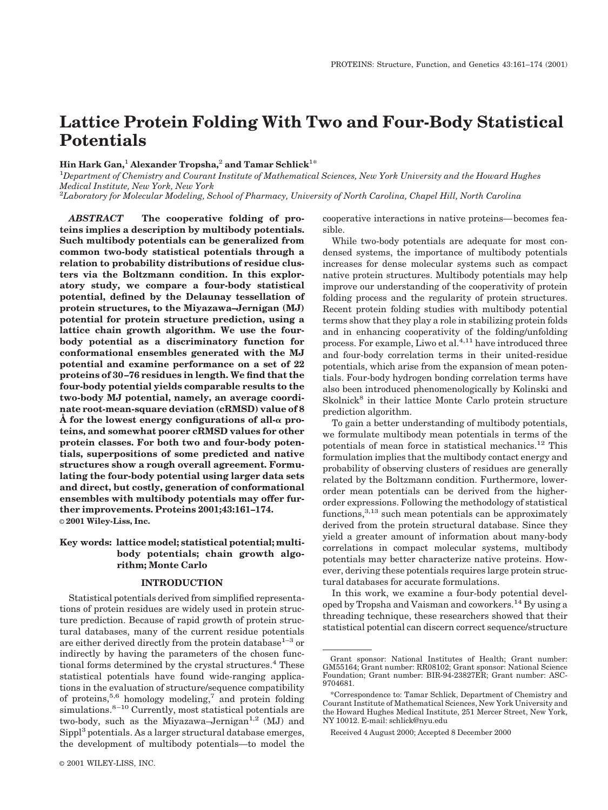# **Lattice Protein Folding With Two and Four-Body Statistical Potentials**

# **Hin Hark Gan,**<sup>1</sup> **Alexander Tropsha,**<sup>2</sup> **and Tamar Schlick**1\*

<sup>1</sup>Department of Chemistry and Courant Institute of Mathematical Sciences, New York University and the Howard Hughes *Medical Institute, New York, New York* <sup>2</sup> *Laboratory for Molecular Modeling, School of Pharmacy, University of North Carolina, Chapel Hill, North Carolina*

*ABSTRACT* **The cooperative folding of proteins implies a description by multibody potentials. Such multibody potentials can be generalized from common two-body statistical potentials through a relation to probability distributions of residue clusters via the Boltzmann condition. In this exploratory study, we compare a four-body statistical potential, defined by the Delaunay tessellation of protein structures, to the Miyazawa–Jernigan (MJ) potential for protein structure prediction, using a lattice chain growth algorithm. We use the fourbody potential as a discriminatory function for conformational ensembles generated with the MJ potential and examine performance on a set of 22 proteins of 30–76 residues in length. We find that the four-body potential yields comparable results to the two-body MJ potential, namely, an average coordinate root-mean-square deviation (cRMSD) value of 8**  $\dot{A}$  for the lowest energy configurations of all- $\alpha$  pro**teins, and somewhat poorer cRMSD values for other protein classes. For both two and four-body potentials, superpositions of some predicted and native structures show a rough overall agreement. Formulating the four-body potential using larger data sets and direct, but costly, generation of conformational ensembles with multibody potentials may offer further improvements. Proteins 2001;43:161–174.** © **2001 Wiley-Liss, Inc.**

# **Key words: lattice model; statistical potential; multibody potentials; chain growth algorithm; Monte Carlo**

## **INTRODUCTION**

Statistical potentials derived from simplified representations of protein residues are widely used in protein structure prediction. Because of rapid growth of protein structural databases, many of the current residue potentials are either derived directly from the protein database<sup>1-3</sup> or indirectly by having the parameters of the chosen functional forms determined by the crystal structures.<sup>4</sup> These statistical potentials have found wide-ranging applications in the evaluation of structure/sequence compatibility of proteins,<sup>5,6</sup> homology modeling,<sup>7</sup> and protein folding  $\sum_{n=1}^{\infty}$  Simulations.<sup>8–10</sup> Currently, most statistical potentials are two-body, such as the Miyazawa-Jernigan<sup>1,2</sup> (MJ) and  $Sippl<sup>3</sup>$  potentials. As a larger structural database emerges, the development of multibody potentials—to model the

cooperative interactions in native proteins—becomes feasible.

While two-body potentials are adequate for most condensed systems, the importance of multibody potentials increases for dense molecular systems such as compact native protein structures. Multibody potentials may help improve our understanding of the cooperativity of protein folding process and the regularity of protein structures. Recent protein folding studies with multibody potential terms show that they play a role in stabilizing protein folds and in enhancing cooperativity of the folding/unfolding process. For example, Liwo et al.<sup>4,11</sup> have introduced three and four-body correlation terms in their united-residue potentials, which arise from the expansion of mean potentials. Four-body hydrogen bonding correlation terms have also been introduced phenomenologically by Kolinski and Skolnick<sup>8</sup> in their lattice Monte Carlo protein structure prediction algorithm.

To gain a better understanding of multibody potentials, we formulate multibody mean potentials in terms of the potentials of mean force in statistical mechanics.<sup>12</sup> This formulation implies that the multibody contact energy and probability of observing clusters of residues are generally related by the Boltzmann condition. Furthermore, lowerorder mean potentials can be derived from the higherorder expressions. Following the methodology of statistical  $functions<sub>13</sub><sup>3,13</sup>$  such mean potentials can be approximately derived from the protein structural database. Since they yield a greater amount of information about many-body correlations in compact molecular systems, multibody potentials may better characterize native proteins. However, deriving these potentials requires large protein structural databases for accurate formulations.

In this work, we examine a four-body potential developed by Tropsha and Vaisman and coworkers.14 By using a threading technique, these researchers showed that their statistical potential can discern correct sequence/structure

Grant sponsor: National Institutes of Health; Grant number: GM55164; Grant number: RR08102; Grant sponsor: National Science Foundation; Grant number: BIR-94-23827ER; Grant number: ASC-9704681.

<sup>\*</sup>Correspondence to: Tamar Schlick, Department of Chemistry and Courant Institute of Mathematical Sciences, New York University and the Howard Hughes Medical Institute, 251 Mercer Street, New York, NY 10012. E-mail: schlick@nyu.edu

Received 4 August 2000; Accepted 8 December 2000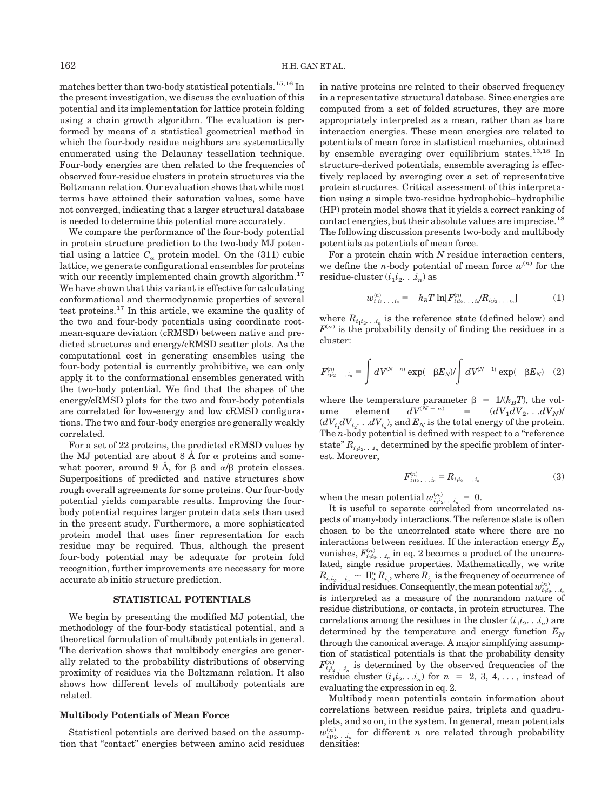matches better than two-body statistical potentials.15,16 In the present investigation, we discuss the evaluation of this potential and its implementation for lattice protein folding using a chain growth algorithm. The evaluation is performed by means of a statistical geometrical method in which the four-body residue neighbors are systematically enumerated using the Delaunay tessellation technique. Four-body energies are then related to the frequencies of observed four-residue clusters in protein structures via the Boltzmann relation. Our evaluation shows that while most terms have attained their saturation values, some have not converged, indicating that a larger structural database is needed to determine this potential more accurately.

We compare the performance of the four-body potential in protein structure prediction to the two-body MJ potential using a lattice  $C_{\alpha}$  protein model. On the (311) cubic lattice, we generate configurational ensembles for proteins with our recently implemented chain growth algorithm.<sup>17</sup> We have shown that this variant is effective for calculating conformational and thermodynamic properties of several test proteins.17 In this article, we examine the quality of the two and four-body potentials using coordinate rootmean-square deviation (cRMSD) between native and predicted structures and energy/cRMSD scatter plots. As the computational cost in generating ensembles using the four-body potential is currently prohibitive, we can only apply it to the conformational ensembles generated with the two-body potential. We find that the shapes of the energy/cRMSD plots for the two and four-body potentials are correlated for low-energy and low cRMSD configurations. The two and four-body energies are generally weakly correlated.

For a set of 22 proteins, the predicted cRMSD values by the MJ potential are about  $8 \text{ Å}$  for  $\alpha$  proteins and somewhat poorer, around 9 Å, for  $\beta$  and  $\alpha/\beta$  protein classes. Superpositions of predicted and native structures show rough overall agreements for some proteins. Our four-body potential yields comparable results. Improving the fourbody potential requires larger protein data sets than used in the present study. Furthermore, a more sophisticated protein model that uses finer representation for each residue may be required. Thus, although the present four-body potential may be adequate for protein fold recognition, further improvements are necessary for more accurate ab initio structure prediction.

#### **STATISTICAL POTENTIALS**

We begin by presenting the modified MJ potential, the methodology of the four-body statistical potential, and a theoretical formulation of multibody potentials in general. The derivation shows that multibody energies are generally related to the probability distributions of observing proximity of residues via the Boltzmann relation. It also shows how different levels of multibody potentials are related.

#### **Multibody Potentials of Mean Force**

Statistical potentials are derived based on the assumption that "contact" energies between amino acid residues in native proteins are related to their observed frequency in a representative structural database. Since energies are computed from a set of folded structures, they are more appropriately interpreted as a mean, rather than as bare interaction energies. These mean energies are related to potentials of mean force in statistical mechanics, obtained by ensemble averaging over equilibrium states.<sup>13,18</sup> In structure-derived potentials, ensemble averaging is effectively replaced by averaging over a set of representative protein structures. Critical assessment of this interpretation using a simple two-residue hydrophobic–hydrophilic (HP) protein model shows that it yields a correct ranking of contact energies, but their absolute values are imprecise.18 The following discussion presents two-body and multibody potentials as potentials of mean force.

For a protein chain with *N* residue interaction centers, we define the *n*-body potential of mean force  $w^{(n)}$  for the residue-cluster  $(i_1 i_2 \ldots i_n)$  as

$$
w_{i_1 i_2 \ldots i_n}^{(n)} = -k_B T \ln[F_{i_1 i_2 \ldots i_n}^{(n)} / R_{i_1 i_2 \ldots i_n}] \tag{1}
$$

where  $R_{i_1i_2...i_n}$  is the reference state (defined below) and  $F^{(n)}$  is the probability density of finding the residues in a cluster:

$$
F_{i_1i_2...i_n}^{(n)} = \int dV^{(N-n)} \exp(-\beta E_N) / \int dV^{(N-1)} \exp(-\beta E_N) \quad (2)
$$

where the temperature parameter  $\beta = 1/(k_BT)$ , the volume<br>element  $dV^{(N-n)} = (dV_d dV_o \dots dV_N)$ element  $dV^{(N-n)} = (dV_1 dV_2 \dots dV_N)$  $(dV_{i_1}dV_{i_2}\cdot dV_{i_n})$ , and  $E_N$  is the total energy of the protein. The *n*-body potential is defined with respect to a "reference state"  $R_{i_1 i_2 \ldots i_n}$  determined by the specific problem of interest. Moreover,

$$
F_{i_1 i_2 \ldots i_n}^{(n)} = R_{i_1 i_2 \ldots i_n}
$$
 (3)

when the mean potential  $w_{i_1 i_2 \ldots i_n}^{(n)} = 0$ .

It is useful to separate correlated from uncorrelated aspects of many-body interactions. The reference state is often chosen to be the uncorrelated state where there are no interactions between residues. If the interaction energy  $E_N$ vanishes,  $F_{i_1 i_2 \ldots i_n}^{(n)}$  in eq. 2 becomes a product of the uncorrelated, single residue properties. Mathematically, we write  $R_{i_1 i_2 \ldots i_n} \sim \prod_a^n R_{i_a}$ , where  $R_{i_a}$  is the frequency of occurrence of  $\lim_{i}$  individual residues. Consequently, the mean potential  $w_{i_1 i_2 \ldots i_n}^{(n)}$ is interpreted as a measure of the nonrandom nature of residue distributions, or contacts, in protein structures. The correlations among the residues in the cluster  $(i_1 i_2 \ldots i_n)$  are determined by the temperature and energy function  $E<sub>N</sub>$ through the canonical average. A major simplifying assumption of statistical potentials is that the probability density  $F_{i_1 i_2 \ldots i_n}^{(n)}$  is determined by the observed frequencies of the residue cluster  $(i_1 i_2 \ldots i_n)$  for  $n = 2, 3, 4, \ldots$ , instead of evaluating the expression in eq. 2.

Multibody mean potentials contain information about correlations between residue pairs, triplets and quadruplets, and so on, in the system. In general, mean potentials  $w_{i_1 i_2 \ldots i_n}^{(n)}$  for different *n* are related through probability densities: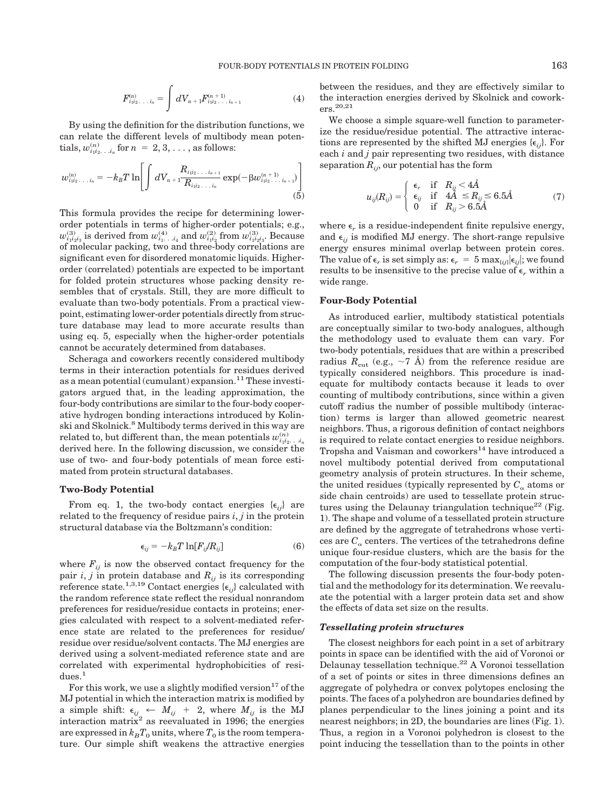$$
F_{i_1i_2\ldots i_n}^{(n)} = \int dV_{n+1} F_{i_1i_2\ldots i_{n+1}}^{(n+1)} \tag{4}
$$

By using the definition for the distribution functions, we can relate the different levels of multibody mean poten- $\text{tails}, w_{i_1 i_2 \ldots i_n}^{(n)} \text{ for } n = 2, 3, \ldots, \text{ as follows:}$ 

$$
w_{i_1i_2\ldots i_n}^{(n)} = -k_B T \ln \left[ \int dV_{n+1} \frac{R_{i_1i_2\ldots i_{n+1}}}{R_{i_1i_2\ldots i_n}} \exp(-\beta w_{i_1i_2\ldots i_{n+1}}^{(n+1)}) \right]
$$
(5)

This formula provides the recipe for determining lowerorder potentials in terms of higher-order potentials; e.g.,  $w^{(3)}_{i_1 i_2 i_3}$  is derived from  $w^{(4)}_{i_1 \ldots i_4}$  and  $w^{(2)}_{i_1 i_2}$  from  $w^{(3)}_{i_1 i_2 i_3}$ . Because of molecular packing, two and three-body correlations are significant even for disordered monatomic liquids. Higherorder (correlated) potentials are expected to be important for folded protein structures whose packing density resembles that of crystals. Still, they are more difficult to evaluate than two-body potentials. From a practical viewpoint, estimating lower-order potentials directly from structure database may lead to more accurate results than using eq. 5, especially when the higher-order potentials cannot be accurately determined from databases.

Scheraga and coworkers recently considered multibody terms in their interaction potentials for residues derived as a mean potential (cumulant) expansion.<sup>11</sup> These investigators argued that, in the leading approximation, the four-body contributions are similar to the four-body cooperative hydrogen bonding interactions introduced by Kolinski and Skolnick.<sup>8</sup> Multibody terms derived in this way are related to, but different than, the mean potentials  $w_{i_1 i_2 \ldots i_n}^{(n)}$ derived here. In the following discussion, we consider the use of two- and four-body potentials of mean force estimated from protein structural databases.

#### **Two-Body Potential**

From eq. 1, the two-body contact energies  $\{\epsilon_{ij}\}\$ are related to the frequency of residue pairs *i*, *j* in the protein structural database via the Boltzmann's condition:

$$
\epsilon_{ij} = -k_B T \ln[F_{ij}/R_{ij}] \tag{6}
$$

where  $F_{ij}$  is now the observed contact frequency for the pair *i*, *j* in protein database and *Rij* is its corresponding reference state.<sup>1,3,19</sup> Contact energies  $\{\epsilon_{ij}\}$  calculated with the random reference state reflect the residual nonrandom preferences for residue/residue contacts in proteins; energies calculated with respect to a solvent-mediated reference state are related to the preferences for residue/ residue over residue/solvent contacts. The MJ energies are derived using a solvent-mediated reference state and are correlated with experimental hydrophobicities of resi $dues.<sup>1</sup>$ 

For this work, we use a slightly modified version<sup>17</sup> of the MJ potential in which the interaction matrix is modified by a simple shift:  $\epsilon_{ij} \leftarrow M_{ij} + 2$ , where  $M_{ij}$  is the MJ interaction matrix<sup>2</sup> as reevaluated in 1996; the energies are expressed in  $k_BT_0$  units, where  $T_0$  is the room temperature. Our simple shift weakens the attractive energies

between the residues, and they are effectively similar to the interaction energies derived by Skolnick and coworkers.20,21

We choose a simple square-well function to parameterize the residue/residue potential. The attractive interactions are represented by the shifted MJ energies  $\{\epsilon_{i,j}\}\$ . For each *i* and *j* pair representing two residues, with distance separation  $R_{ij}$ , our potential has the form

$$
u_{ij}(R_{ij}) = \begin{cases} \epsilon_r & \text{if } R_{ij} < 4\text{\AA} \\ \epsilon_{ij} & \text{if } 4\text{\AA} \le R_{ij} \le 6.5\text{\AA} \\ 0 & \text{if } R_{ij} > 6.5\text{\AA} \end{cases}
$$
(7)

where  $\epsilon_r$  is a residue-independent finite repulsive energy, and  $\epsilon_{ij}$  is modified MJ energy. The short-range repulsive energy ensures minimal overlap between protein cores. The value of  $\epsilon_r$  is set simply as:  $\epsilon_r = 5$  max $_{\{ij\}}|\epsilon_{ij}|$ ; we found results to be insensitive to the precise value of  $\epsilon_r$  within a wide range.

#### **Four-Body Potential**

As introduced earlier, multibody statistical potentials are conceptually similar to two-body analogues, although the methodology used to evaluate them can vary. For two-body potentials, residues that are within a prescribed radius  $R_{\text{cut}}$  (e.g.,  $\sim$ 7 Å) from the reference residue are typically considered neighbors. This procedure is inadequate for multibody contacts because it leads to over counting of multibody contributions, since within a given cutoff radius the number of possible multibody (interaction) terms is larger than allowed geometric nearest neighbors. Thus, a rigorous definition of contact neighbors is required to relate contact energies to residue neighbors. Tropsha and Vaisman and coworkers<sup>14</sup> have introduced a novel multibody potential derived from computational geometry analysis of protein structures. In their scheme, the united residues (typically represented by  $C_{\alpha}$  atoms or side chain centroids) are used to tessellate protein structures using the Delaunay triangulation technique<sup>22</sup> (Fig. 1). The shape and volume of a tessellated protein structure are defined by the aggregate of tetrahedrons whose vertices are  $C_{\alpha}$  centers. The vertices of the tetrahedrons define unique four-residue clusters, which are the basis for the computation of the four-body statistical potential.

The following discussion presents the four-body potential and the methodology for its determination. We reevaluate the potential with a larger protein data set and show the effects of data set size on the results.

#### *Tessellating protein structures*

The closest neighbors for each point in a set of arbitrary points in space can be identified with the aid of Voronoi or Delaunay tessellation technique.22 A Voronoi tessellation of a set of points or sites in three dimensions defines an aggregate of polyhedra or convex polytopes enclosing the points. The faces of a polyhedron are boundaries defined by planes perpendicular to the lines joining a point and its nearest neighbors; in 2D, the boundaries are lines (Fig. 1). Thus, a region in a Voronoi polyhedron is closest to the point inducing the tessellation than to the points in other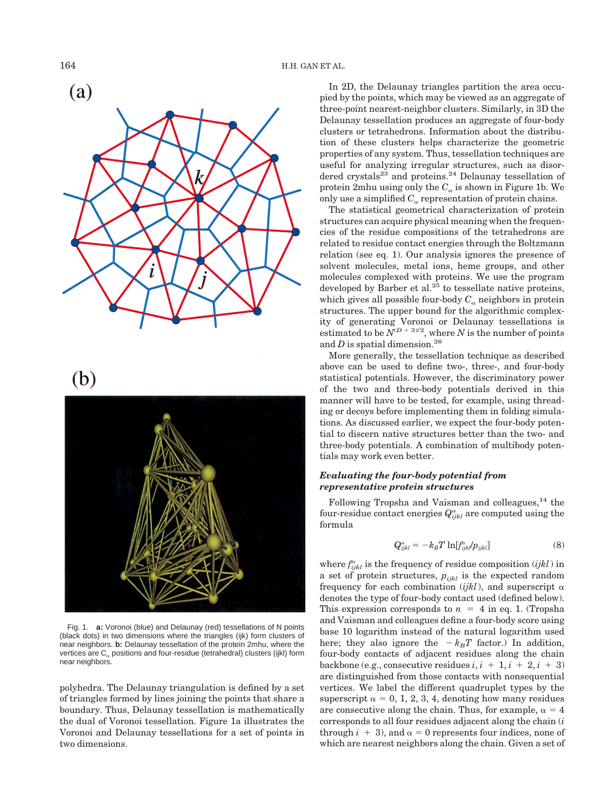

(b)



Fig. 1. **a:** Voronoi (blue) and Delaunay (red) tessellations of N points (black dots) in two dimensions where the triangles (ijk) form clusters of near neighbors. **b:** Delaunay tessellation of the protein 2mhu, where the vertices are  $C_{\alpha}$  positions and four-residue (tetrahedral) clusters (ijkl) form near neighbors.

polyhedra. The Delaunay triangulation is defined by a set of triangles formed by lines joining the points that share a boundary. Thus, Delaunay tessellation is mathematically the dual of Voronoi tessellation. Figure 1a illustrates the Voronoi and Delaunay tessellations for a set of points in two dimensions.

In 2D, the Delaunay triangles partition the area occupied by the points, which may be viewed as an aggregate of three-point nearest-neighbor clusters. Similarly, in 3D the Delaunay tessellation produces an aggregate of four-body clusters or tetrahedrons. Information about the distribution of these clusters helps characterize the geometric properties of any system. Thus, tessellation techniques are useful for analyzing irregular structures, such as disordered crystals<sup>23</sup> and proteins.<sup>24</sup> Delaunay tessellation of protein 2mhu using only the  $C_{\alpha}$  is shown in Figure 1b. We only use a simplified  $C_{\alpha}$  representation of protein chains.

The statistical geometrical characterization of protein structures can acquire physical meaning when the frequencies of the residue compositions of the tetrahedrons are related to residue contact energies through the Boltzmann relation (see eq. 1). Our analysis ignores the presence of solvent molecules, metal ions, heme groups, and other molecules complexed with proteins. We use the program developed by Barber et al. $^{25}$  to tessellate native proteins, which gives all possible four-body  $C_{\boldsymbol{\alpha}}$  neighbors in protein structures. The upper bound for the algorithmic complexity of generating Voronoi or Delaunay tessellations is estimated to be  $\overline{N}^{(D\ +\ 3)/2}$ , where *N* is the number of points and *D* is spatial dimension.<sup>26</sup>

More generally, the tessellation technique as described above can be used to define two-, three-, and four-body statistical potentials. However, the discriminatory power of the two and three-body potentials derived in this manner will have to be tested, for example, using threading or decoys before implementing them in folding simulations. As discussed earlier, we expect the four-body potential to discern native structures better than the two- and three-body potentials. A combination of multibody potentials may work even better.

# *Evaluating the four-body potential from representative protein structures*

Following Tropsha and Vaisman and colleagues,<sup>14</sup> the four-residue contact energies  $Q_{ijkl}^{\alpha}$  are computed using the formula

$$
Q_{ijkl}^{\alpha} = -k_B T \ln[f_{ijkl}^{\alpha}/p_{ijkl}]
$$
 (8)

where  $f_{ijkl}^{\alpha}$  is the frequency of residue composition (*ijkl*) in a set of protein structures, *pijkl* is the expected random frequency for each combination  $(ijkl)$ , and superscript  $\alpha$ denotes the type of four-body contact used (defined below). This expression corresponds to  $n = 4$  in eq. 1. (Tropsha and Vaisman and colleagues define a four-body score using base 10 logarithm instead of the natural logarithm used here; they also ignore the  $-k_BT$  factor.) In addition, four-body contacts of adjacent residues along the chain backbone (e.g., consecutive residues  $i, i + 1, i + 2, i + 3$ ) are distinguished from those contacts with nonsequential vertices. We label the different quadruplet types by the superscript  $\alpha = 0, 1, 2, 3, 4$ , denoting how many residues are consecutive along the chain. Thus, for example,  $\alpha = 4$ corresponds to all four residues adjacent along the chain (*i* through  $i + 3$ , and  $\alpha = 0$  represents four indices, none of which are nearest neighbors along the chain. Given a set of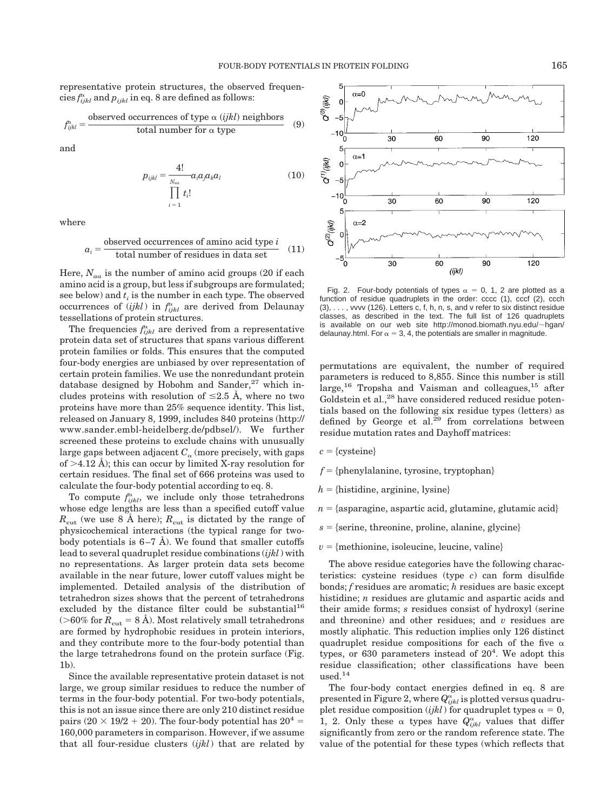representative protein structures, the observed frequen- ${\rm cies}\, f^\alpha_{ijkl}$  and  $p_{ijkl}$  in eq. 8 are defined as follows:

$$
f_{ijkl}^{\alpha} = \frac{\text{observed occurrences of type } \alpha \ (ijkl) \text{ neighbors}}{\text{total number for } \alpha \ \text{type}} \tag{9}
$$

and

$$
p_{ijkl} = \frac{4!}{\prod_{N_{aa}} N_{a} a_j a_k a_l}
$$
 (10)

where

$$
a_i = \frac{\text{observed occurrences of amino acid type } i}{\text{total number of residues in data set}} \quad (11)
$$

Here,  $N_{aa}$  is the number of amino acid groups (20 if each amino acid is a group, but less if subgroups are formulated; see below) and *t<sub>i</sub>* is the number in each type. The observed occurrences of  $(ijkl)$  in  $f_{ijkl}^{\alpha}$  are derived from Delaunay tessellations of protein structures.

The frequencies  $f_{ijkl}^{\alpha}$  are derived from a representative protein data set of structures that spans various different protein families or folds. This ensures that the computed four-body energies are unbiased by over representation of certain protein families. We use the nonredundant protein database designed by Hobohm and Sander, $27$  which includes proteins with resolution of  $\leq 2.5$  Å, where no two proteins have more than 25% sequence identity. This list, released on January 8, 1999, includes 840 proteins (http:// www.sander.embl-heidelberg.de/pdbsel/). We further screened these proteins to exclude chains with unusually large gaps between adjacent  $C_{\alpha}$  (more precisely, with gaps of  $>4.12$  Å); this can occur by limited X-ray resolution for certain residues. The final set of 666 proteins was used to calculate the four-body potential according to eq. 8.

To compute  $f_{ijkl}^{\alpha}$ , we include only those tetrahedrons whose edge lengths are less than a specified cutoff value  $R_{\text{cut}}$  (we use 8 Å here);  $R_{\text{cut}}$  is dictated by the range of physicochemical interactions (the typical range for twobody potentials is  $6-7$  Å). We found that smaller cutoffs lead to several quadruplet residue combinations (*ijkl*) with no representations. As larger protein data sets become available in the near future, lower cutoff values might be implemented. Detailed analysis of the distribution of tetrahedron sizes shows that the percent of tetrahedrons excluded by the distance filter could be substantial<sup>16</sup> ( $>60\%$  for  $R_{\text{cut}} = 8$  Å). Most relatively small tetrahedrons are formed by hydrophobic residues in protein interiors, and they contribute more to the four-body potential than the large tetrahedrons found on the protein surface (Fig. 1b).

Since the available representative protein dataset is not large, we group similar residues to reduce the number of terms in the four-body potential. For two-body potentials, this is not an issue since there are only 210 distinct residue pairs (20  $\times$  19/2 + 20). The four-body potential has 20<sup>4</sup> = 160,000 parameters in comparison. However, if we assume that all four-residue clusters (*ijkl*) that are related by



Fig. 2. Four-body potentials of types  $\alpha = 0, 1, 2$  are plotted as a function of residue quadruplets in the order: cccc (1), cccf (2), ccch (3), . . . , vvvv (126). Letters c, f, h, n, s, and v refer to six distinct residue classes, as described in the text. The full list of 126 quadruplets is available on our web site http://monod.biomath.nyu.edu/ $\sim$ hgan/ delaunay.html. For  $\alpha = 3, 4$ , the potentials are smaller in magnitude.

permutations are equivalent, the number of required parameters is reduced to 8,855. Since this number is still large,<sup>16</sup> Tropsha and Vaisman and colleagues,<sup>15</sup> after Goldstein et al.,<sup>28</sup> have considered reduced residue potentials based on the following six residue types (letters) as defined by George et al.<sup>29</sup> from correlations between residue mutation rates and Dayhoff matrices:

- $c = \{cysteine\}$
- $f = \{phenylalanine, tyrosine, tryptophan\}$
- $h = \{h$ istidine, arginine, lysine $\}$
- $n =$ {asparagine, aspartic acid, glutamine, glutamic acid}
- $s =$ {serine, threonine, proline, alanine, glycine}
- $v = \{$ methionine, isoleucine, leucine, valine $\}$

The above residue categories have the following characteristics: cysteine residues (type *c*) can form disulfide bonds; *f* residues are aromatic; *h* residues are basic except histidine; *n* residues are glutamic and aspartic acids and their amide forms; *s* residues consist of hydroxyl (serine and threonine) and other residues; and *v* residues are mostly aliphatic. This reduction implies only 126 distinct quadruplet residue compositions for each of the five  $\alpha$ types, or  $630$  parameters instead of  $20<sup>4</sup>$ . We adopt this residue classification; other classifications have been used.14

The four-body contact energies defined in eq. 8 are presented in Figure 2, where  $Q_{ijkl}^\alpha$  is plotted versus quadruplet residue composition (*ijkl*) for quadruplet types  $\alpha = 0$ , 1, 2. Only these  $\alpha$  types have  $Q_{ijkl}^{\alpha}$  values that differ significantly from zero or the random reference state. The value of the potential for these types (which reflects that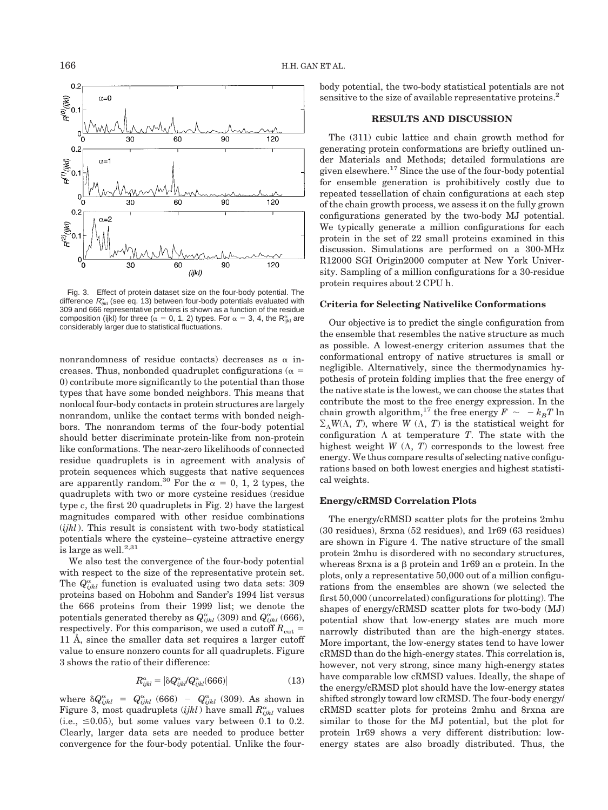

Fig. 3. Effect of protein dataset size on the four-body potential. The difference  $R^{\alpha}_{ijkl}$  (see eq. 13) between four-body potentials evaluated with 309 and 666 representative proteins is shown as a function of the residue composition (ijkl) for three ( $\alpha = 0, 1, 2$ ) types. For  $\alpha = 3, 4$ , the R $_{ijkl}^{\alpha}$  are considerably larger due to statistical fluctuations.

nonrandomness of residue contacts) decreases as  $\alpha$  increases. Thus, nonbonded quadruplet configurations ( $\alpha =$ 0) contribute more significantly to the potential than those types that have some bonded neighbors. This means that nonlocal four-body contacts in protein structures are largely nonrandom, unlike the contact terms with bonded neighbors. The nonrandom terms of the four-body potential should better discriminate protein-like from non-protein like conformations. The near-zero likelihoods of connected residue quadruplets is in agreement with analysis of protein sequences which suggests that native sequences are apparently random.<sup>30</sup> For the  $\alpha = 0, 1, 2$  types, the quadruplets with two or more cysteine residues (residue type *c*, the first 20 quadruplets in Fig. 2) have the largest magnitudes compared with other residue combinations (*ijkl*). This result is consistent with two-body statistical potentials where the cysteine–cysteine attractive energy is large as well. $^{2,31}$ 

We also test the convergence of the four-body potential with respect to the size of the representative protein set. The  $Q_{ijkl}^{\alpha}$  function is evaluated using two data sets: 309 proteins based on Hobohm and Sander's 1994 list versus the 666 proteins from their 1999 list; we denote the potentials generated thereby as  $Q_{ijkl}^{\alpha}$  (309) and  $Q_{ijkl}^{\alpha}$  (666), respectively. For this comparison, we used a cutoff  $R_{\text{cut}} =$ 11 Å, since the smaller data set requires a larger cutoff value to ensure nonzero counts for all quadruplets. Figure 3 shows the ratio of their difference:

$$
R^{\alpha}_{ijkl} = \left| \delta Q^{\alpha}_{ijkl} / Q^{\alpha}_{ijkl} (666) \right| \tag{13}
$$

where  $\delta Q_{ijkl}^{\alpha} = Q_{ijkl}^{\alpha} (666) - Q_{ijkl}^{\alpha} (309)$ . As shown in Figure 3, most quadruplets  $(ijkl)$  have small  $R^{\alpha}_{ijkl}$  values (i.e.,  $\leq 0.05$ ), but some values vary between 0.1 to 0.2. Clearly, larger data sets are needed to produce better convergence for the four-body potential. Unlike the four-

body potential, the two-body statistical potentials are not sensitive to the size of available representative proteins.<sup>2</sup>

### **RESULTS AND DISCUSSION**

The (311) cubic lattice and chain growth method for generating protein conformations are briefly outlined under Materials and Methods; detailed formulations are given elsewhere.17 Since the use of the four-body potential for ensemble generation is prohibitively costly due to repeated tessellation of chain configurations at each step of the chain growth process, we assess it on the fully grown configurations generated by the two-body MJ potential. We typically generate a million configurations for each protein in the set of 22 small proteins examined in this discussion. Simulations are performed on a 300-MHz R12000 SGI Origin2000 computer at New York University. Sampling of a million configurations for a 30-residue protein requires about 2 CPU h.

## **Criteria for Selecting Nativelike Conformations**

Our objective is to predict the single configuration from the ensemble that resembles the native structure as much as possible. A lowest-energy criterion assumes that the conformational entropy of native structures is small or negligible. Alternatively, since the thermodynamics hypothesis of protein folding implies that the free energy of the native state is the lowest, we can choose the states that contribute the most to the free energy expression. In the chain growth algorithm,<sup>17</sup> the free energy  $F \sim -k_BT \ln$  $\Sigma_{\Lambda}W(\Lambda, T)$ , where *W*  $(\Lambda, T)$  is the statistical weight for configuration  $\Lambda$  at temperature *T*. The state with the highest weight  $W(\Lambda, T)$  corresponds to the lowest free energy. We thus compare results of selecting native configurations based on both lowest energies and highest statistical weights.

#### **Energy/cRMSD Correlation Plots**

The energy/cRMSD scatter plots for the proteins 2mhu (30 residues), 8rxna (52 residues), and 1r69 (63 residues) are shown in Figure 4. The native structure of the small protein 2mhu is disordered with no secondary structures, whereas 8 rxna is a  $\beta$  protein and 1r69 an  $\alpha$  protein. In the plots, only a representative 50,000 out of a million configurations from the ensembles are shown (we selected the first 50,000 (uncorrelated) configurations for plotting). The shapes of energy/cRMSD scatter plots for two-body (MJ) potential show that low-energy states are much more narrowly distributed than are the high-energy states. More important, the low-energy states tend to have lower cRMSD than do the high-energy states. This correlation is, however, not very strong, since many high-energy states have comparable low cRMSD values. Ideally, the shape of the energy/cRMSD plot should have the low-energy states shifted strongly toward low cRMSD. The four-body energy/ cRMSD scatter plots for proteins 2mhu and 8rxna are similar to those for the MJ potential, but the plot for protein 1r69 shows a very different distribution: lowenergy states are also broadly distributed. Thus, the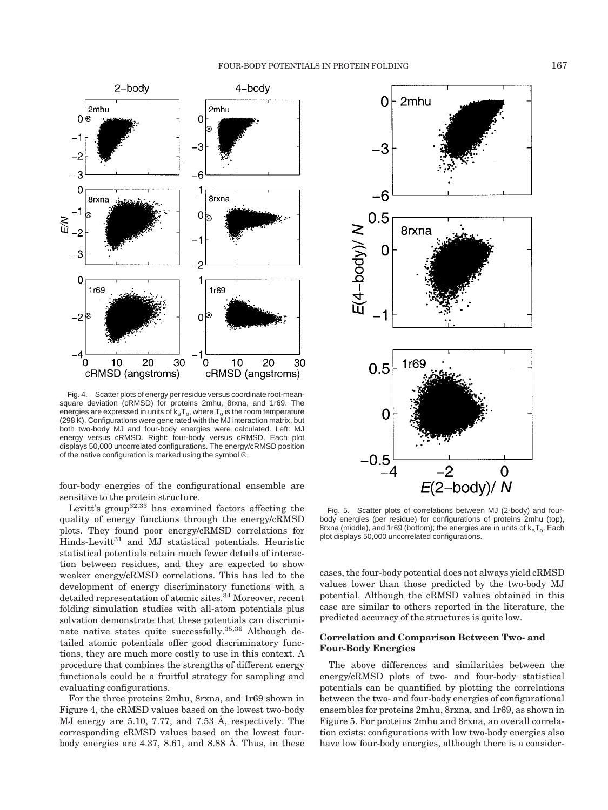## FOUR-BODY POTENTIALS IN PROTEIN FOLDING 167



Fig. 4. Scatter plots of energy per residue versus coordinate root-meansquare deviation (cRMSD) for proteins 2mhu, 8rxna, and 1r69. The energies are expressed in units of  $\mathrm{k_B T_o},$  where  $\mathrm{T_o}$  is the room temperature<br>(298 K). Configurations were generated with the MJ interaction matrix, but both two-body MJ and four-body energies were calculated. Left: MJ energy versus cRMSD. Right: four-body versus cRMSD. Each plot displays 50,000 uncorrelated configurations. The energy/cRMSD position of the native configuration is marked using the symbol  $\otimes$ .

four-body energies of the configurational ensemble are sensitive to the protein structure.

Levitt's group<sup>32,33</sup> has examined factors affecting the quality of energy functions through the energy/cRMSD plots. They found poor energy/cRMSD correlations for  $\text{Hinds-Levitt}^{31}$  and MJ statistical potentials. Heuristic statistical potentials retain much fewer details of interaction between residues, and they are expected to show weaker energy/cRMSD correlations. This has led to the development of energy discriminatory functions with a detailed representation of atomic sites.<sup>34</sup> Moreover, recent folding simulation studies with all-atom potentials plus solvation demonstrate that these potentials can discriminate native states quite successfully.<sup>35,36</sup> Although detailed atomic potentials offer good discriminatory functions, they are much more costly to use in this context. A procedure that combines the strengths of different energy functionals could be a fruitful strategy for sampling and evaluating configurations.

For the three proteins 2mhu, 8rxna, and 1r69 shown in Figure 4, the cRMSD values based on the lowest two-body MJ energy are 5.10, 7.77, and 7.53 Å, respectively. The corresponding cRMSD values based on the lowest fourbody energies are 4.37, 8.61, and 8.88 Å. Thus, in these



Fig. 5. Scatter plots of correlations between MJ (2-body) and fourbody energies (per residue) for configurations of proteins 2mhu (top), 8rxna (middle), and 1r69 (bottom); the energies are in units of  $k_BT_0$ . Each plot displays 50,000 uncorrelated configurations.

cases, the four-body potential does not always yield cRMSD values lower than those predicted by the two-body MJ potential. Although the cRMSD values obtained in this case are similar to others reported in the literature, the predicted accuracy of the structures is quite low.

## **Correlation and Comparison Between Two- and Four-Body Energies**

The above differences and similarities between the energy/cRMSD plots of two- and four-body statistical potentials can be quantified by plotting the correlations between the two- and four-body energies of configurational ensembles for proteins 2mhu, 8rxna, and 1r69, as shown in Figure 5. For proteins 2mhu and 8rxna, an overall correlation exists: configurations with low two-body energies also have low four-body energies, although there is a consider-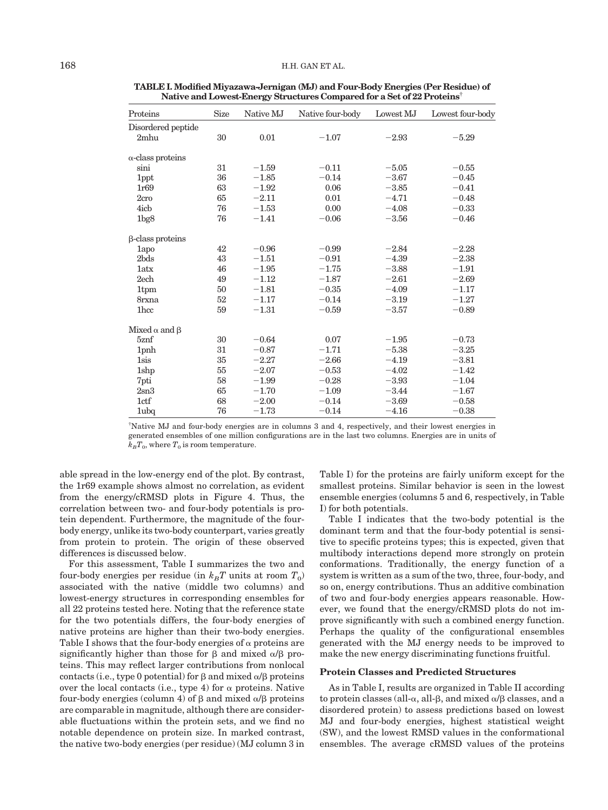| Proteins                   | <b>Size</b> | Native MJ | Native four-body | Lowest MJ | Lowest four-body |  |
|----------------------------|-------------|-----------|------------------|-----------|------------------|--|
| Disordered peptide         |             |           |                  |           |                  |  |
| 2mhu                       | 30          | 0.01      | $-1.07$          | $-2.93$   | $-5.29$          |  |
| $\alpha$ -class proteins   |             |           |                  |           |                  |  |
| sini                       | 31          | $-1.59$   | $-0.11$          | $-5.05$   | $-0.55$          |  |
| 1 <sub>ppt</sub>           | 36          | $-1.85$   | $-0.14$          | $-3.67$   | $-0.45$          |  |
| 1r69                       | 63          | $-1.92$   | 0.06             | $-3.85$   | $-0.41$          |  |
| 2cro                       | 65          | $-2.11$   | 0.01             | $-4.71$   | $-0.48$          |  |
| 4icb                       | 76          | $-1.53$   | 0.00             | $-4.08$   | $-0.33$          |  |
| 1bg8                       | 76          | $-1.41$   | $-0.06$          | $-3.56$   | $-0.46$          |  |
| $\beta$ -class proteins    |             |           |                  |           |                  |  |
| 1apo                       | 42          | $-0.96$   | $-0.99$          | $-2.84$   | $-2.28$          |  |
| 2bds                       | 43          | $-1.51$   | $-0.91$          | $-4.39$   | $-2.38$          |  |
| 1atx                       | 46          | $-1.95$   | $-1.75$          | $-3.88$   | $-1.91$          |  |
| 2ech                       | 49          | $-1.12$   | $-1.87$          | $-2.61$   | $-2.69$          |  |
| 1tpm                       | 50          | $-1.81$   | $-0.35$          | $-4.09$   | $-1.17$          |  |
| 8rxna                      | 52          | $-1.17$   | $-0.14$          | $-3.19$   | $-1.27$          |  |
| 1hcc                       | 59          | $-1.31$   | $-0.59$          | $-3.57$   | $-0.89$          |  |
| Mixed $\alpha$ and $\beta$ |             |           |                  |           |                  |  |
| 5z <sub>nf</sub>           | 30          | $-0.64$   | 0.07             | $-1.95$   | $-0.73$          |  |
| 1p <sub>nh</sub>           | 31          | $-0.87$   | $-1.71$          | $-5.38$   | $-3.25$          |  |
| 1sis                       | 35          | $-2.27$   | $-2.66$          | $-4.19$   | $-3.81$          |  |
| 1shp                       | 55          | $-2.07$   | $-0.53$          | $-4.02$   | $-1.42$          |  |
| 7pti                       | 58          | $-1.99$   | $-0.28$          | $-3.93$   | $-1.04$          |  |
| $2\text{sn}3$              | 65          | $-1.70$   | $-1.09$          | $-3.44$   | $-1.67$          |  |
| 1ctf                       | 68          | $-2.00$   | $-0.14$          | $-3.69$   | $-0.58$          |  |
| 1ubq                       | 76          | $-1.73$   | $-0.14$          | $-4.16$   | $-0.38$          |  |

**TABLE I. Modified Miyazawa-Jernigan (MJ) and Four-Body Energies (Per Residue) of Native and Lowest-Energy Structures Compared for a Set of 22 Proteins**†

† Native MJ and four-body energies are in columns 3 and 4, respectively, and their lowest energies in generated ensembles of one million configurations are in the last two columns. Energies are in units of  $\bar{k}_B T_0$ , where  $T_0$  is room temperature.

able spread in the low-energy end of the plot. By contrast, the 1r69 example shows almost no correlation, as evident from the energy/cRMSD plots in Figure 4. Thus, the correlation between two- and four-body potentials is protein dependent. Furthermore, the magnitude of the fourbody energy, unlike its two-body counterpart, varies greatly from protein to protein. The origin of these observed differences is discussed below.

For this assessment, Table I summarizes the two and four-body energies per residue (in  $k_BT$  units at room  $T_0$ ) associated with the native (middle two columns) and lowest-energy structures in corresponding ensembles for all 22 proteins tested here. Noting that the reference state for the two potentials differs, the four-body energies of native proteins are higher than their two-body energies. Table I shows that the four-body energies of  $\alpha$  proteins are significantly higher than those for  $\beta$  and mixed  $\alpha/\beta$  proteins. This may reflect larger contributions from nonlocal contacts (i.e., type 0 potential) for  $\beta$  and mixed  $\alpha/\beta$  proteins over the local contacts (i.e., type 4) for  $\alpha$  proteins. Native four-body energies (column 4) of  $\beta$  and mixed  $\alpha/\beta$  proteins are comparable in magnitude, although there are considerable fluctuations within the protein sets, and we find no notable dependence on protein size. In marked contrast, the native two-body energies (per residue) (MJ column 3 in Table I) for the proteins are fairly uniform except for the smallest proteins. Similar behavior is seen in the lowest ensemble energies (columns 5 and 6, respectively, in Table I) for both potentials.

Table I indicates that the two-body potential is the dominant term and that the four-body potential is sensitive to specific proteins types; this is expected, given that multibody interactions depend more strongly on protein conformations. Traditionally, the energy function of a system is written as a sum of the two, three, four-body, and so on, energy contributions. Thus an additive combination of two and four-body energies appears reasonable. However, we found that the energy/cRMSD plots do not improve significantly with such a combined energy function. Perhaps the quality of the configurational ensembles generated with the MJ energy needs to be improved to make the new energy discriminating functions fruitful.

#### **Protein Classes and Predicted Structures**

As in Table I, results are organized in Table II according to protein classes (all- $\alpha$ , all- $\beta$ , and mixed  $\alpha/\beta$  classes, and a disordered protein) to assess predictions based on lowest MJ and four-body energies, highest statistical weight (SW), and the lowest RMSD values in the conformational ensembles. The average cRMSD values of the proteins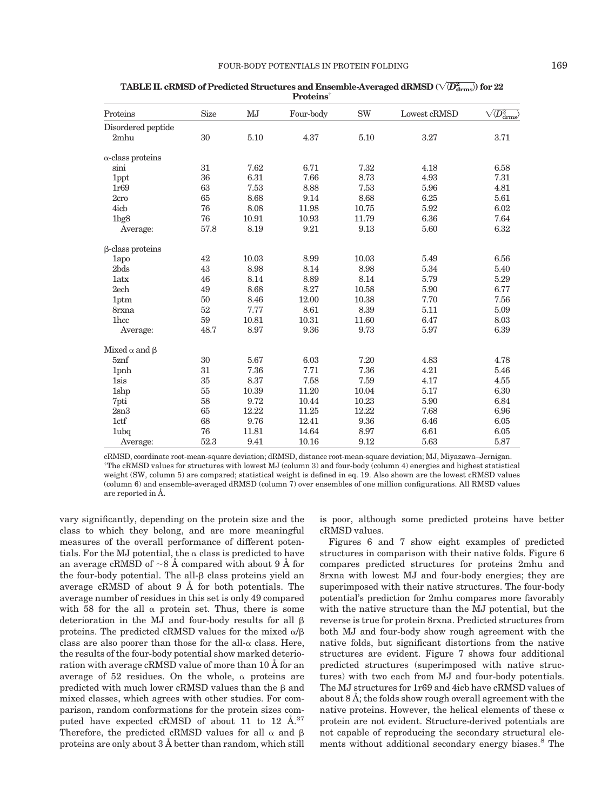## FOUR-BODY POTENTIALS IN PROTEIN FOLDING 169

|                            | <b>Proteins</b> |       |           |           |              |                                            |  |  |  |  |
|----------------------------|-----------------|-------|-----------|-----------|--------------|--------------------------------------------|--|--|--|--|
| Proteins                   | Size            | MJ    | Four-body | <b>SW</b> | Lowest cRMSD | $\sqrt{\langle D^2_\mathrm{drms} \rangle}$ |  |  |  |  |
| Disordered peptide         |                 |       |           |           |              |                                            |  |  |  |  |
| 2mhu                       | 30              | 5.10  | 4.37      | 5.10      | 3.27         | 3.71                                       |  |  |  |  |
| $\alpha$ -class proteins   |                 |       |           |           |              |                                            |  |  |  |  |
| sini                       | 31              | 7.62  | 6.71      | 7.32      | 4.18         | 6.58                                       |  |  |  |  |
| 1 <sub>ppt</sub>           | 36              | 6.31  | 7.66      | 8.73      | 4.93         | 7.31                                       |  |  |  |  |
| 1r69                       | 63              | 7.53  | 8.88      | 7.53      | 5.96         | 4.81                                       |  |  |  |  |
| 2cro                       | 65              | 8.68  | 9.14      | 8.68      | 6.25         | 5.61                                       |  |  |  |  |
| 4icb                       | 76              | 8.08  | 11.98     | 10.75     | 5.92         | 6.02                                       |  |  |  |  |
| 1 <sub>bg8</sub>           | 76              | 10.91 | 10.93     | 11.79     | 6.36         | 7.64                                       |  |  |  |  |
| Average:                   | 57.8            | 8.19  | 9.21      | 9.13      | 5.60         | 6.32                                       |  |  |  |  |
| β-class proteins           |                 |       |           |           |              |                                            |  |  |  |  |
| 1apo                       | 42              | 10.03 | 8.99      | 10.03     | 5.49         | 6.56                                       |  |  |  |  |
| 2bds                       | 43              | 8.98  | 8.14      | 8.98      | 5.34         | 5.40                                       |  |  |  |  |
| 1 <sub>atx</sub>           | 46              | 8.14  | 8.89      | 8.14      | 5.79         | 5.29                                       |  |  |  |  |
| 2ech                       | 49              | 8.68  | 8.27      | 10.58     | 5.90         | 6.77                                       |  |  |  |  |
| 1ptm                       | 50              | 8.46  | 12.00     | 10.38     | 7.70         | 7.56                                       |  |  |  |  |
| 8rxna                      | 52              | 7.77  | 8.61      | 8.39      | 5.11         | 5.09                                       |  |  |  |  |
| 1 <sub>hcc</sub>           | 59              | 10.81 | 10.31     | 11.60     | 6.47         | 8.03                                       |  |  |  |  |
| Average:                   | 48.7            | 8.97  | 9.36      | 9.73      | 5.97         | 6.39                                       |  |  |  |  |
| Mixed $\alpha$ and $\beta$ |                 |       |           |           |              |                                            |  |  |  |  |
| 5z <sub>nf</sub>           | 30              | 5.67  | 6.03      | 7.20      | 4.83         | 4.78                                       |  |  |  |  |
| 1 <sub>p</sub> nh          | 31              | 7.36  | 7.71      | 7.36      | 4.21         | 5.46                                       |  |  |  |  |
| 1sis                       | 35              | 8.37  | 7.58      | 7.59      | 4.17         | 4.55                                       |  |  |  |  |
| 1shp                       | 55              | 10.39 | 11.20     | 10.04     | 5.17         | 6.30                                       |  |  |  |  |
| 7pti                       | 58              | 9.72  | 10.44     | 10.23     | 5.90         | 6.84                                       |  |  |  |  |
| $2\text{sn}3$              | 65              | 12.22 | 11.25     | 12.22     | 7.68         | 6.96                                       |  |  |  |  |
| 1ctf                       | 68              | 9.76  | 12.41     | 9.36      | 6.46         | 6.05                                       |  |  |  |  |
| 1ubq                       | 76              | 11.81 | 14.64     | 8.97      | 6.61         | 6.05                                       |  |  |  |  |
| Average:                   | 52.3            | 9.41  | 10.16     | 9.12      | 5.63         | 5.87                                       |  |  |  |  |

| TABLE II. cRMSD of Predicted Structures and Ensemble-Averaged dRMSD $(\sqrt{D_{\rm drms}^2})$ for 22 |  |
|------------------------------------------------------------------------------------------------------|--|
| <b>Proteins</b>                                                                                      |  |

cRMSD, coordinate root-mean-square deviation; dRMSD, distance root-mean-square deviation; MJ, Miyazawa–Jernigan. † The cRMSD values for structures with lowest MJ (column 3) and four-body (column 4) energies and highest statistical weight (SW, column 5) are compared; statistical weight is defined in eq. 19. Also shown are the lowest cRMSD values (column 6) and ensemble-averaged dRMSD (column 7) over ensembles of one million configurations. All RMSD values are reported in Å.

vary significantly, depending on the protein size and the class to which they belong, and are more meaningful measures of the overall performance of different potentials. For the MJ potential, the  $\alpha$  class is predicted to have an average cRMSD of  $\sim$ 8 Å compared with about 9 Å for the four-body potential. The all- $\beta$  class proteins yield an average cRMSD of about 9 Å for both potentials. The average number of residues in this set is only 49 compared with 58 for the all  $\alpha$  protein set. Thus, there is some deterioration in the MJ and four-body results for all  $\beta$ proteins. The predicted cRMSD values for the mixed  $\alpha/\beta$ class are also poorer than those for the all- $\alpha$  class. Here, the results of the four-body potential show marked deterioration with average cRMSD value of more than 10 Å for an average of 52 residues. On the whole,  $\alpha$  proteins are predicted with much lower cRMSD values than the  $\beta$  and mixed classes, which agrees with other studies. For comparison, random conformations for the protein sizes computed have expected cRMSD of about 11 to 12  $\AA$ <sup>37</sup> Therefore, the predicted cRMSD values for all  $\alpha$  and  $\beta$ proteins are only about 3 Å better than random, which still is poor, although some predicted proteins have better cRMSD values.

Figures 6 and 7 show eight examples of predicted structures in comparison with their native folds. Figure 6 compares predicted structures for proteins 2mhu and 8rxna with lowest MJ and four-body energies; they are superimposed with their native structures. The four-body potential's prediction for 2mhu compares more favorably with the native structure than the MJ potential, but the reverse is true for protein 8rxna. Predicted structures from both MJ and four-body show rough agreement with the native folds, but significant distortions from the native structures are evident. Figure 7 shows four additional predicted structures (superimposed with native structures) with two each from MJ and four-body potentials. The MJ structures for 1r69 and 4icb have cRMSD values of about 8 Å; the folds show rough overall agreement with the native proteins. However, the helical elements of these  $\alpha$ protein are not evident. Structure-derived potentials are not capable of reproducing the secondary structural elements without additional secondary energy biases.<sup>8</sup> The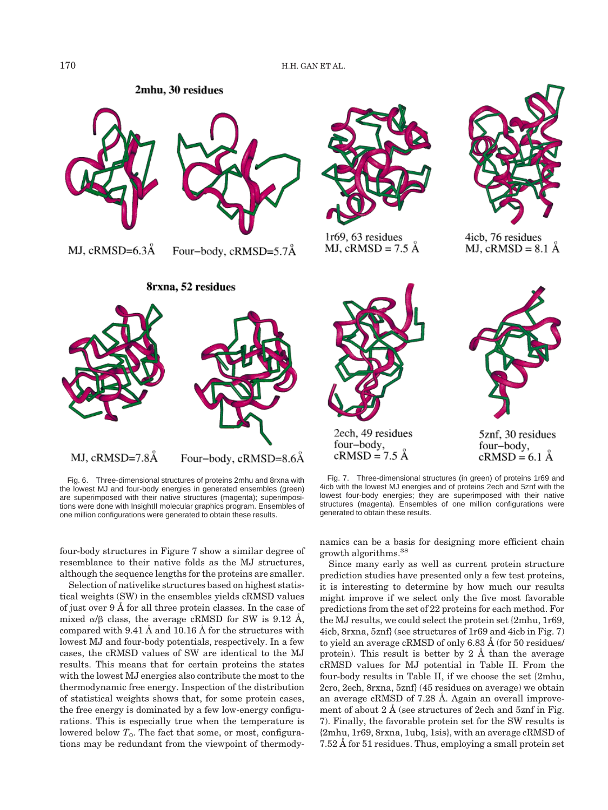2mhu, 30 residues





MJ, cRMSD=6.3Å Four-body, cRMSD=5.7Å



 $1r69$ ,  $63$  residues MJ, cRMSD =  $7.5 \text{ Å}$ 



4icb, 76 residues MJ,  $cRMSD = 8.1 \text{ Å}$ 



Fig. 6. Three-dimensional structures of proteins 2mhu and 8rxna with the lowest MJ and four-body energies in generated ensembles (green) are superimposed with their native structures (magenta); superimpositions were done with InsightII molecular graphics program. Ensembles of one million configurations were generated to obtain these results.

four-body structures in Figure 7 show a similar degree of resemblance to their native folds as the MJ structures, although the sequence lengths for the proteins are smaller.

Selection of nativelike structures based on highest statistical weights (SW) in the ensembles yields cRMSD values of just over 9 Å for all three protein classes. In the case of mixed  $\alpha$ / $\beta$  class, the average cRMSD for SW is 9.12 Å, compared with 9.41 Å and 10.16 Å for the structures with lowest MJ and four-body potentials, respectively. In a few cases, the cRMSD values of SW are identical to the MJ results. This means that for certain proteins the states with the lowest MJ energies also contribute the most to the thermodynamic free energy. Inspection of the distribution of statistical weights shows that, for some protein cases, the free energy is dominated by a few low-energy configurations. This is especially true when the temperature is lowered below  $T_0$ . The fact that some, or most, configurations may be redundant from the viewpoint of thermody-





four-body,  $cRMSD = 6.1 \text{ Å}$ 

Fig. 7. Three-dimensional structures (in green) of proteins 1r69 and 4icb with the lowest MJ energies and of proteins 2ech and 5znf with the lowest four-body energies; they are superimposed with their native structures (magenta). Ensembles of one million configurations were generated to obtain these results.

namics can be a basis for designing more efficient chain growth algorithms.38

Since many early as well as current protein structure prediction studies have presented only a few test proteins, it is interesting to determine by how much our results might improve if we select only the five most favorable predictions from the set of 22 proteins for each method. For the MJ results, we could select the protein set {2mhu, 1r69, 4icb, 8rxna, 5znf} (see structures of 1r69 and 4icb in Fig. 7) to yield an average cRMSD of only 6.83 Å (for 50 residues/ protein). This result is better by 2 Å than the average cRMSD values for MJ potential in Table II. From the four-body results in Table II, if we choose the set {2mhu, 2cro, 2ech, 8rxna, 5znf} (45 residues on average) we obtain an average cRMSD of 7.28 Å. Again an overall improvement of about 2 Å (see structures of 2ech and 5znf in Fig. 7). Finally, the favorable protein set for the SW results is {2mhu, 1r69, 8rxna, 1ubq, 1sis}, with an average cRMSD of 7.52 Å for 51 residues. Thus, employing a small protein set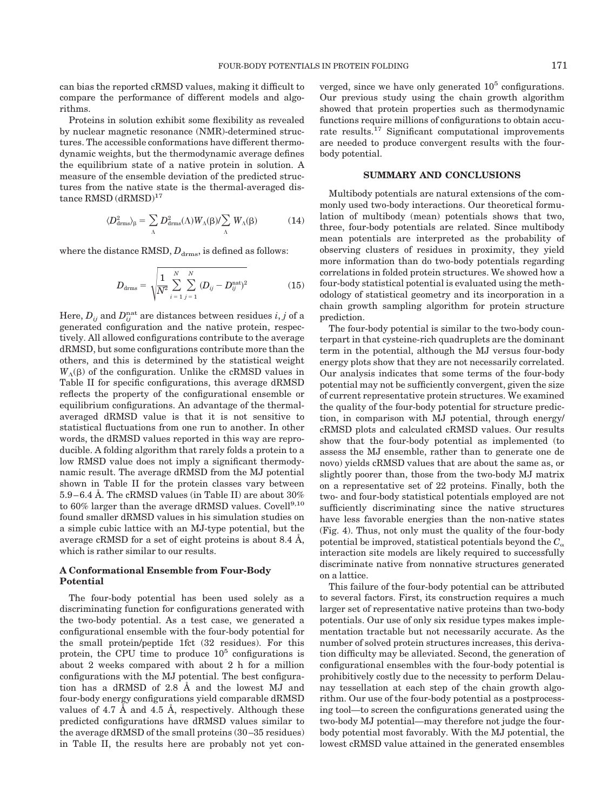can bias the reported cRMSD values, making it difficult to compare the performance of different models and algorithms.

Proteins in solution exhibit some flexibility as revealed by nuclear magnetic resonance (NMR)-determined structures. The accessible conformations have different thermodynamic weights, but the thermodynamic average defines the equilibrium state of a native protein in solution. A measure of the ensemble deviation of the predicted structures from the native state is the thermal-averaged distance RMSD (dRMSD)<sup>17</sup>

$$
\langle D_{\text{drms}}^2 \rangle_{\beta} = \sum_{\Lambda} D_{\text{drms}}^2(\Lambda) W_{\Lambda}(\beta) / \sum_{\Lambda} W_{\Lambda}(\beta) \tag{14}
$$

where the distance RMSD,  $D_{\text{drms}}$ , is defined as follows:

$$
D_{\text{drms}} = \sqrt{\frac{1}{N^2} \sum_{i=1}^{N} \sum_{j=1}^{N} (D_{ij} - D_{ij}^{\text{nat}})^2}
$$
(15)

Here,  $D_{ij}$  and  $D_{ij}^{\text{nat}}$  are distances between residues  $i, j$  of a generated configuration and the native protein, respectively. All allowed configurations contribute to the average dRMSD, but some configurations contribute more than the others, and this is determined by the statistical weight  $W_{\Lambda}(\beta)$  of the configuration. Unlike the cRMSD values in Table II for specific configurations, this average dRMSD reflects the property of the configurational ensemble or equilibrium configurations. An advantage of the thermalaveraged dRMSD value is that it is not sensitive to statistical fluctuations from one run to another. In other words, the dRMSD values reported in this way are reproducible. A folding algorithm that rarely folds a protein to a low RMSD value does not imply a significant thermodynamic result. The average dRMSD from the MJ potential shown in Table II for the protein classes vary between 5.9–6.4 Å. The cRMSD values (in Table II) are about 30% to 60% larger than the average dRMSD values. Covell<sup>9,10</sup> found smaller dRMSD values in his simulation studies on a simple cubic lattice with an MJ-type potential, but the average cRMSD for a set of eight proteins is about 8.4 Å, which is rather similar to our results.

## **A Conformational Ensemble from Four-Body Potential**

The four-body potential has been used solely as a discriminating function for configurations generated with the two-body potential. As a test case, we generated a configurational ensemble with the four-body potential for the small protein/peptide 1fct (32 residues). For this protein, the CPU time to produce  $10<sup>5</sup>$  configurations is about 2 weeks compared with about 2 h for a million configurations with the MJ potential. The best configuration has a dRMSD of 2.8 Å and the lowest MJ and four-body energy configurations yield comparable dRMSD values of 4.7 Å and 4.5 Å, respectively. Although these predicted configurations have dRMSD values similar to the average dRMSD of the small proteins (30–35 residues) in Table II, the results here are probably not yet converged, since we have only generated  $10<sup>5</sup>$  configurations. Our previous study using the chain growth algorithm showed that protein properties such as thermodynamic functions require millions of configurations to obtain accurate results.17 Significant computational improvements are needed to produce convergent results with the fourbody potential.

## **SUMMARY AND CONCLUSIONS**

Multibody potentials are natural extensions of the commonly used two-body interactions. Our theoretical formulation of multibody (mean) potentials shows that two, three, four-body potentials are related. Since multibody mean potentials are interpreted as the probability of observing clusters of residues in proximity, they yield more information than do two-body potentials regarding correlations in folded protein structures. We showed how a four-body statistical potential is evaluated using the methodology of statistical geometry and its incorporation in a chain growth sampling algorithm for protein structure prediction.

The four-body potential is similar to the two-body counterpart in that cysteine-rich quadruplets are the dominant term in the potential, although the MJ versus four-body energy plots show that they are not necessarily correlated. Our analysis indicates that some terms of the four-body potential may not be sufficiently convergent, given the size of current representative protein structures. We examined the quality of the four-body potential for structure prediction, in comparison with MJ potential, through energy/ cRMSD plots and calculated cRMSD values. Our results show that the four-body potential as implemented (to assess the MJ ensemble, rather than to generate one de novo) yields cRMSD values that are about the same as, or slightly poorer than, those from the two-body MJ matrix on a representative set of 22 proteins. Finally, both the two- and four-body statistical potentials employed are not sufficiently discriminating since the native structures have less favorable energies than the non-native states (Fig. 4). Thus, not only must the quality of the four-body potential be improved, statistical potentials beyond the  $C_{\alpha}$ interaction site models are likely required to successfully discriminate native from nonnative structures generated on a lattice.

This failure of the four-body potential can be attributed to several factors. First, its construction requires a much larger set of representative native proteins than two-body potentials. Our use of only six residue types makes implementation tractable but not necessarily accurate. As the number of solved protein structures increases, this derivation difficulty may be alleviated. Second, the generation of configurational ensembles with the four-body potential is prohibitively costly due to the necessity to perform Delaunay tessellation at each step of the chain growth algorithm. Our use of the four-body potential as a postprocessing tool—to screen the configurations generated using the two-body MJ potential—may therefore not judge the fourbody potential most favorably. With the MJ potential, the lowest cRMSD value attained in the generated ensembles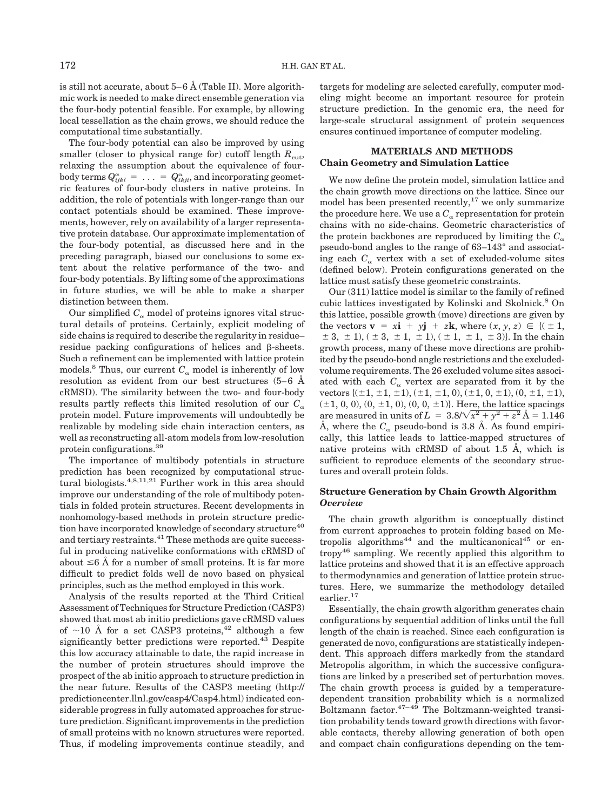is still not accurate, about  $5-6$  Å (Table II). More algorithmic work is needed to make direct ensemble generation via the four-body potential feasible. For example, by allowing local tessellation as the chain grows, we should reduce the computational time substantially.

The four-body potential can also be improved by using smaller (closer to physical range for) cutoff length  $R_{\text{cut}}$ , relaxing the assumption about the equivalence of fourbody terms  $Q_{ijkl}^{\alpha} = \ldots = Q_{ikji}^{\alpha}$ , and incorporating geometric features of four-body clusters in native proteins. In addition, the role of potentials with longer-range than our contact potentials should be examined. These improvements, however, rely on availability of a larger representative protein database. Our approximate implementation of the four-body potential, as discussed here and in the preceding paragraph, biased our conclusions to some extent about the relative performance of the two- and four-body potentials. By lifting some of the approximations in future studies, we will be able to make a sharper distinction between them.

Our simplified  $C_{\alpha}$  model of proteins ignores vital structural details of proteins. Certainly, explicit modeling of side chains is required to describe the regularity in residue– residue packing configurations of helices and b-sheets. Such a refinement can be implemented with lattice protein models.<sup>8</sup> Thus, our current  $C_{\alpha}$  model is inherently of low resolution as evident from our best structures (5–6 Å cRMSD). The similarity between the two- and four-body results partly reflects this limited resolution of our  $C_{\gamma}$ protein model. Future improvements will undoubtedly be realizable by modeling side chain interaction centers, as well as reconstructing all-atom models from low-resolution protein configurations.39

The importance of multibody potentials in structure prediction has been recognized by computational structural biologists. $4,8,11,21$  Further work in this area should improve our understanding of the role of multibody potentials in folded protein structures. Recent developments in nonhomology-based methods in protein structure prediction have incorporated knowledge of secondary structure<sup>40</sup> and tertiary restraints.<sup>41</sup> These methods are quite successful in producing nativelike conformations with cRMSD of about  $\leq 6$  Å for a number of small proteins. It is far more difficult to predict folds well de novo based on physical principles, such as the method employed in this work.

Analysis of the results reported at the Third Critical Assessment of Techniques for Structure Prediction (CASP3) showed that most ab initio predictions gave cRMSD values of  $\sim$ 10 Å for a set CASP3 proteins,<sup>42</sup> although a few significantly better predictions were reported.<sup>43</sup> Despite this low accuracy attainable to date, the rapid increase in the number of protein structures should improve the prospect of the ab initio approach to structure prediction in the near future. Results of the CASP3 meeting (http:// predictioncenter.llnl.gov/casp4/Casp4.html) indicated considerable progress in fully automated approaches for structure prediction. Significant improvements in the prediction of small proteins with no known structures were reported. Thus, if modeling improvements continue steadily, and targets for modeling are selected carefully, computer modeling might become an important resource for protein structure prediction. In the genomic era, the need for large-scale structural assignment of protein sequences ensures continued importance of computer modeling.

# **MATERIALS AND METHODS Chain Geometry and Simulation Lattice**

We now define the protein model, simulation lattice and the chain growth move directions on the lattice. Since our model has been presented recently,<sup>17</sup> we only summarize the procedure here. We use a  $C_{\alpha}$  representation for protein chains with no side-chains. Geometric characteristics of the protein backbones are reproduced by limiting the  $C_{\alpha}$ pseudo-bond angles to the range of 63–143° and associating each  $C_{\alpha}$  vertex with a set of excluded-volume sites (defined below). Protein configurations generated on the lattice must satisfy these geometric constraints.

Our (311) lattice model is similar to the family of refined cubic lattices investigated by Kolinski and Skolnick.<sup>8</sup> On this lattice, possible growth (move) directions are given by the vectors  $\mathbf{v} = x\mathbf{i} + y\mathbf{j} + z\mathbf{k}$ , where  $(x, y, z) \in \{(\pm 1,$  $\pm$  3,  $\pm$  1), ( $\pm$  3,  $\pm$  1,  $\pm$  1), ( $\pm$  1,  $\pm$  1,  $\pm$  3)}. In the chain growth process, many of these move directions are prohibited by the pseudo-bond angle restrictions and the excludedvolume requirements. The 26 excluded volume sites associated with each  $C_{\alpha}$  vertex are separated from it by the vectors  $\{(\pm 1, \pm 1, \pm 1), (\pm 1, \pm 1, 0), (\pm 1, 0, \pm 1), (0, \pm 1, \pm 1),\}$  $(\pm 1, 0, 0), (0, \pm 1, 0), (0, 0, \pm 1)$ . Here, the lattice spacings are measured in units of  $L = 3.8/\sqrt{x^2 + y^2 + z^2}$  Å = 1.146 Å, where the  $C_{\alpha}$  pseudo-bond is 3.8 Å. As found empirically, this lattice leads to lattice-mapped structures of native proteins with cRMSD of about 1.5 Å, which is sufficient to reproduce elements of the secondary structures and overall protein folds.

## **Structure Generation by Chain Growth Algorithm** *Overview*

The chain growth algorithm is conceptually distinct from current approaches to protein folding based on Metropolis algorithms<sup>44</sup> and the multicanonical<sup>45</sup> or entropy46 sampling. We recently applied this algorithm to lattice proteins and showed that it is an effective approach to thermodynamics and generation of lattice protein structures. Here, we summarize the methodology detailed earlier.<sup>17</sup>

Essentially, the chain growth algorithm generates chain configurations by sequential addition of links until the full length of the chain is reached. Since each configuration is generated de novo, configurations are statistically independent. This approach differs markedly from the standard Metropolis algorithm, in which the successive configurations are linked by a prescribed set of perturbation moves. The chain growth process is guided by a temperaturedependent transition probability which is a normalized Boltzmann factor.<sup>47-49</sup> The Boltzmann-weighted transition probability tends toward growth directions with favorable contacts, thereby allowing generation of both open and compact chain configurations depending on the tem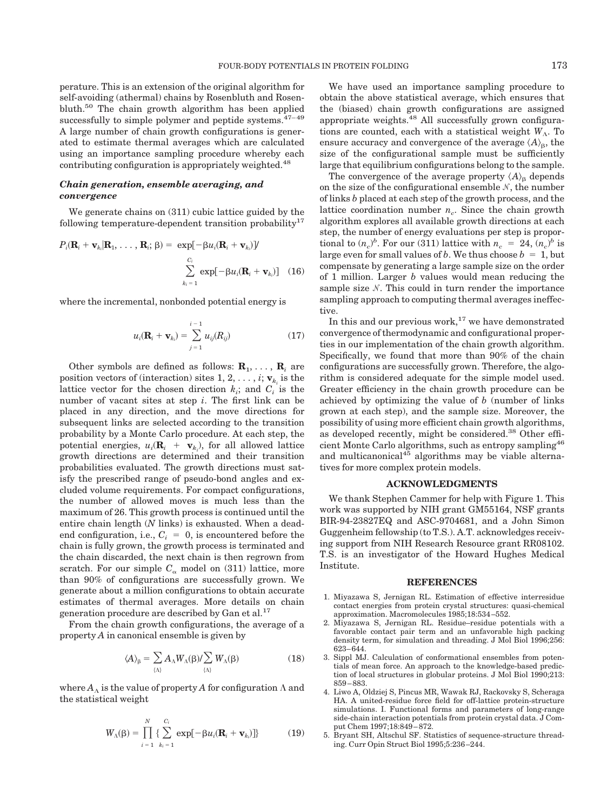perature. This is an extension of the original algorithm for self-avoiding (athermal) chains by Rosenbluth and Rosenbluth.50 The chain growth algorithm has been applied successfully to simple polymer and peptide systems. $47-49$ A large number of chain growth configurations is generated to estimate thermal averages which are calculated using an importance sampling procedure whereby each contributing configuration is appropriately weighted.<sup>48</sup>

# *Chain generation, ensemble averaging, and convergence*

We generate chains on (311) cubic lattice guided by the following temperature-dependent transition probability<sup>17</sup>

$$
P_i(\mathbf{R}_i + \mathbf{v}_{k_i} | \mathbf{R}_1, ..., \mathbf{R}_i; \beta) = \exp[-\beta u_i(\mathbf{R}_i + \mathbf{v}_{k_i})] / \sum_{\substack{C_i \\ k_i = 1}}^{C_i} \exp[-\beta u_i(\mathbf{R}_i + \mathbf{v}_{k_i})] \quad (16)
$$

where the incremental, nonbonded potential energy is

$$
u_i(\mathbf{R}_i + \mathbf{v}_{k_i}) = \sum_{j=1}^{i-1} u_{ij}(R_{ij})
$$
\n(17)

Other symbols are defined as follows:  $\mathbf{R}_1, \ldots, \mathbf{R}_i$  are position vectors of (interaction) sites  $1, 2, \ldots, i; \mathbf{v}_{k_i}$  is the lattice vector for the chosen direction  $k_i$ ; and  $C_i$  is the number of vacant sites at step *i*. The first link can be placed in any direction, and the move directions for subsequent links are selected according to the transition probability by a Monte Carlo procedure. At each step, the potential energies,  $u_i(\mathbf{R}_i + \mathbf{v}_{k_i})$ , for all allowed lattice growth directions are determined and their transition probabilities evaluated. The growth directions must satisfy the prescribed range of pseudo-bond angles and excluded volume requirements. For compact configurations, the number of allowed moves is much less than the maximum of 26. This growth process is continued until the entire chain length (*N* links) is exhausted. When a deadend configuration, i.e.,  $C_i = 0$ , is encountered before the chain is fully grown, the growth process is terminated and the chain discarded, the next chain is then regrown from scratch. For our simple  $C_{\alpha}$  model on (311) lattice, more than 90% of configurations are successfully grown. We generate about a million configurations to obtain accurate estimates of thermal averages. More details on chain generation procedure are described by Gan et al. $^{17}$ 

From the chain growth configurations, the average of a property *A* in canonical ensemble is given by

$$
\langle A \rangle_{\beta} = \sum_{\{\Lambda\}} A_{\Lambda} W_{\Lambda}(\beta) / \sum_{\{\Lambda\}} W_{\Lambda}(\beta) \tag{18}
$$

where  $A_\Lambda$  is the value of property A for configuration  $\Lambda$  and the statistical weight

$$
W_{\Lambda}(\beta) = \prod_{i=1}^{N} \left\{ \sum_{k_i=1}^{C_i} \exp[-\beta u_i(\mathbf{R}_i + \mathbf{v}_{k_i})] \right\}
$$
(19)

We have used an importance sampling procedure to obtain the above statistical average, which ensures that the (biased) chain growth configurations are assigned appropriate weights.48 All successfully grown configurations are counted, each with a statistical weight  $W_{\Lambda}$ . To ensure accuracy and convergence of the average  $\langle A \rangle$ <sub>e</sub>, the size of the configurational sample must be sufficiently large that equilibrium configurations belong to the sample.

The convergence of the average property  $\langle A \rangle$ <sub>B</sub> depends on the size of the configurational ensemble  $\mathcal N,$  the number of links *b* placed at each step of the growth process, and the lattice coordination number  $n_c$ . Since the chain growth algorithm explores all available growth directions at each step, the number of energy evaluations per step is proportional to  $(n_c)^b$ . For our (311) lattice with  $n_c = 24$ ,  $(n_c)^b$  is large even for small values of *b*. We thus choose  $b = 1$ , but compensate by generating a large sample size on the order of 1 million. Larger *b* values would mean reducing the sample size  $N$ . This could in turn render the importance sampling approach to computing thermal averages ineffective.

In this and our previous work, $17$  we have demonstrated convergence of thermodynamic and configurational properties in our implementation of the chain growth algorithm. Specifically, we found that more than 90% of the chain configurations are successfully grown. Therefore, the algorithm is considered adequate for the simple model used. Greater efficiency in the chain growth procedure can be achieved by optimizing the value of *b* (number of links grown at each step), and the sample size. Moreover, the possibility of using more efficient chain growth algorithms, as developed recently, might be considered.<sup>38</sup> Other efficient Monte Carlo algorithms, such as entropy sampling46 and multicanonical $45$  algorithms may be viable alternatives for more complex protein models.

#### **ACKNOWLEDGMENTS**

We thank Stephen Cammer for help with Figure 1. This work was supported by NIH grant GM55164, NSF grants BIR-94-23827EQ and ASC-9704681, and a John Simon Guggenheim fellowship (to T.S.). A.T. acknowledges receiving support from NIH Research Resource grant RR08102. T.S. is an investigator of the Howard Hughes Medical Institute.

#### **REFERENCES**

- 1. Miyazawa S, Jernigan RL. Estimation of effective interresidue contact energies from protein crystal structures: quasi-chemical approximation. Macromolecules 1985;18:534–552.
- 2. Miyazawa S, Jernigan RL. Residue–residue potentials with a favorable contact pair term and an unfavorable high packing density term, for simulation and threading. J Mol Biol 1996;256: 623–644.
- 3. Sippl MJ. Calculation of conformational ensembles from potentials of mean force. An approach to the knowledge-based prediction of local structures in globular proteins. J Mol Biol 1990;213: 859–883.
- 4. Liwo A, Oldziej S, Pincus MR, Wawak RJ, Rackovsky S, Scheraga HA. A united-residue force field for off-lattice protein-structure simulations. I. Functional forms and parameters of long-range side-chain interaction potentials from protein crystal data. J Comput Chem 1997;18:849–872.
- 5. Bryant SH, Altschul SF. Statistics of sequence-structure threading. Curr Opin Struct Biol 1995;5:236–244.